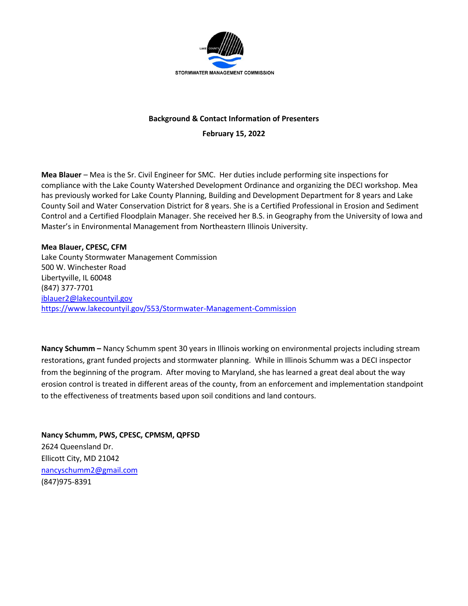

### **Background & Contact Information of Presenters February 15, 2022**

**Mea Blauer** – Mea is the Sr. Civil Engineer for SMC. Her duties include performing site inspections for compliance with the Lake County Watershed Development Ordinance and organizing the DECI workshop. Mea has previously worked for Lake County Planning, Building and Development Department for 8 years and Lake County Soil and Water Conservation District for 8 years. She is a Certified Professional in Erosion and Sediment Control and a Certified Floodplain Manager. She received her B.S. in Geography from the University of Iowa and Master's in Environmental Management from Northeastern Illinois University.

**Mea Blauer, CPESC, CFM** Lake County Stormwater Management Commission 500 W. Winchester Road Libertyville, IL 60048 (847) 377-7701 [iblauer2@lakecountyil.gov](mailto:iblauer2@lakecountyil.gov) <https://www.lakecountyil.gov/553/Stormwater-Management-Commission>

**Nancy Schumm –** Nancy Schumm spent 30 years in Illinois working on environmental projects including stream restorations, grant funded projects and stormwater planning. While in Illinois Schumm was a DECI inspector from the beginning of the program. After moving to Maryland, she has learned a great deal about the way erosion control is treated in different areas of the county, from an enforcement and implementation standpoint to the effectiveness of treatments based upon soil conditions and land contours.

**Nancy Schumm, PWS, CPESC, CPMSM, QPFSD** 2624 Queensland Dr. Ellicott City, MD 21042 [nancyschumm2@gmail.com](mailto:nancyschumm2@gmail.com) (847)975-8391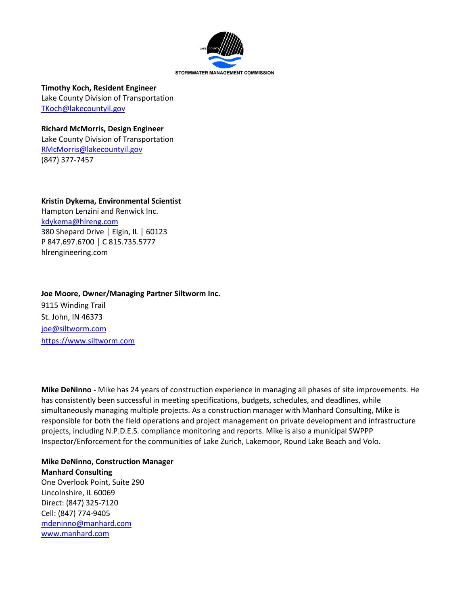

**Timothy Koch, Resident Engineer** Lake County Division of Transportation [TKoch@lakecountyil.gov](mailto:TKoch@lakecountyil.gov)

# **Richard McMorris, Design Engineer**

Lake County Division of Transportation [RMcMorris@lakecountyil.gov](mailto:RMcMorris@lakecountyil.gov) (847) 377-7457

**Kristin Dykema, Environmental Scientist** Hampton Lenzini and Renwick Inc. [kdykema@hlreng.com](mailto:kdykema@hlreng.com) 380 Shepard Drive │ Elgin, IL │ 60123 P 847.697.6700 │ C 815.735.5777 hlrengineering.com

#### **Joe Moore, Owner/Managing Partner Siltworm Inc.**

9115 Winding Trail St. John, IN 46373 [joe@siltworm.com](mailto:joe@siltworm.com) [https://www.siltworm.com](https://www.siltworm.com/)

**Mike DeNinno -** Mike has 24 years of construction experience in managing all phases of site improvements. He has consistently been successful in meeting specifications, budgets, schedules, and deadlines, while simultaneously managing multiple projects. As a construction manager with Manhard Consulting, Mike is responsible for both the field operations and project management on private development and infrastructure projects, including N.P.D.E.S. compliance monitoring and reports. Mike is also a municipal SWPPP Inspector/Enforcement for the communities of Lake Zurich, Lakemoor, Round Lake Beach and Volo.

**Mike DeNinno, Construction Manager Manhard Consulting**  One Overlook Point, Suite 290 Lincolnshire, IL 60069 Direct: (847) 325-7120 Cell: (847) 774-9405 [mdeninno@manhard.com](mailto:mdeninno@manhard.com) [www.manhard.com](http://www.manhard.com/)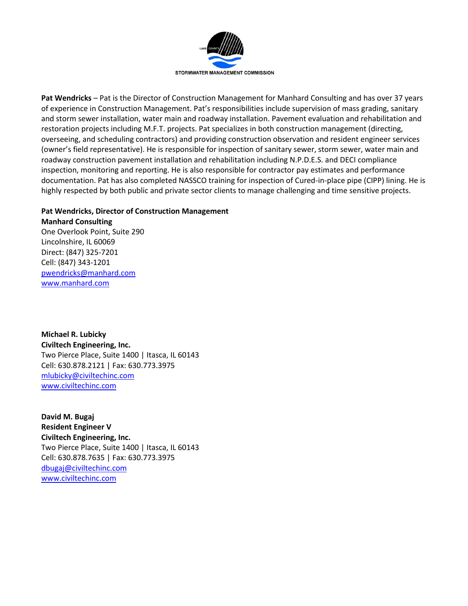

**Pat Wendricks** – Pat is the Director of Construction Management for Manhard Consulting and has over 37 years of experience in Construction Management. Pat's responsibilities include supervision of mass grading, sanitary and storm sewer installation, water main and roadway installation. Pavement evaluation and rehabilitation and restoration projects including M.F.T. projects. Pat specializes in both construction management (directing, overseeing, and scheduling contractors) and providing construction observation and resident engineer services (owner's field representative). He is responsible for inspection of sanitary sewer, storm sewer, water main and roadway construction pavement installation and rehabilitation including N.P.D.E.S. and DECI compliance inspection, monitoring and reporting. He is also responsible for contractor pay estimates and performance documentation. Pat has also completed NASSCO training for inspection of Cured-in-place pipe (CIPP) lining. He is highly respected by both public and private sector clients to manage challenging and time sensitive projects.

#### **Pat Wendricks, Director of Construction Management**

**Manhard Consulting**  One Overlook Point, Suite 290 Lincolnshire, IL 60069 Direct: (847) 325-7201 Cell: (847) 343-1201 [pwendricks@manhard.com](mailto:pwendricks@manhard.com) [www.manhard.com](http://www.manhard.com/)

**Michael R. Lubicky Civiltech Engineering, Inc.** Two Pierce Place, Suite 1400 | Itasca, IL 60143 Cell: 630.878.2121 | Fax: 630.773.3975 [mlubicky@civiltechinc.com](mailto:mlubicky@civiltechinc.com) [www.civiltechinc.com](http://www.civiltechinc.com/)

**David M. Bugaj Resident Engineer V Civiltech Engineering, Inc.** Two Pierce Place, Suite 1400 | Itasca, IL 60143 Cell: 630.878.7635 | Fax: 630.773.3975 [dbugaj@civiltechinc.com](mailto:dbugaj@civiltechinc.com) [www.civiltechinc.com](http://www.civiltechinc.com/)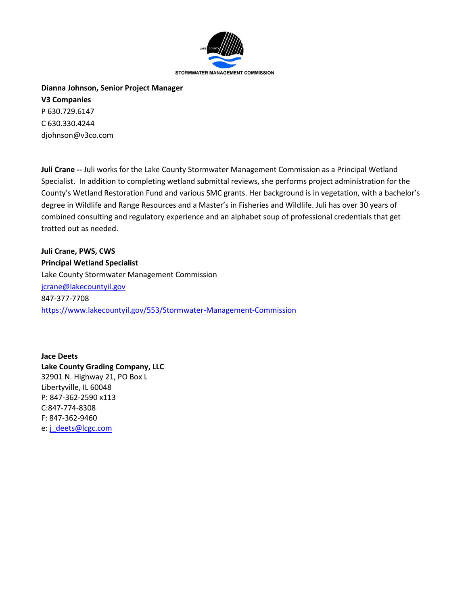

**Dianna Johnson, Senior Project Manager V3 Companies** P 630.729.6147 C 630.330.4244 djohnson@v3co.com

**Juli Crane --** Juli works for the Lake County Stormwater Management Commission as a Principal Wetland Specialist. In addition to completing wetland submittal reviews, she performs project administration for the County's Wetland Restoration Fund and various SMC grants. Her background is in vegetation, with a bachelor's degree in Wildlife and Range Resources and a Master's in Fisheries and Wildlife. Juli has over 30 years of combined consulting and regulatory experience and an alphabet soup of professional credentials that get trotted out as needed.

**Juli Crane, PWS, CWS Principal Wetland Specialist** Lake County Stormwater Management Commission [jcrane@lakecountyil.gov](mailto:jcrane@lakecountyil.gov) 847-377-7708 <https://www.lakecountyil.gov/553/Stormwater-Management-Commission>

**Jace Deets Lake County Grading Company, LLC** 32901 N. Highway 21, PO Box L Libertyville, IL 60048 P: 847-362-2590 x113 C:847-774-8308 F: 847-362-9460 e: [j\\_deets@lcgc.com](mailto:j_deets@lcgc.com)